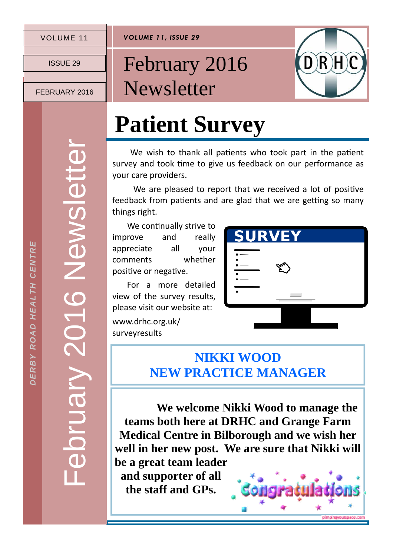#### VOLUME 11

*VOLUME 11, ISSUE 29* 

ISSUE 29

FEBRUARY 2016

### February 2016 **Newsletter**



## **Patient Survey**

We wish to thank all patients who took part in the patient survey and took time to give us feedback on our performance as your care providers.

We are pleased to report that we received a lot of positive feedback from patients and are glad that we are getting so many things right.

We continually strive to improve and really appreciate all your comments whether positive or negative.

 For a more detailed view of the survey results, please visit our website at:

www.drhc.org.uk/ surveyresults



#### **NIKKI WOOD NEW PRACTICE MANAGER**

 **We welcome Nikki Wood to manage the teams both here at DRHC and Grange Farm Medical Centre in Bilborough and we wish her well in her new post. We are sure that Nikki will be a great team leader and supporter of all** 

**the staff and GPs.** 

February 2016 Newsletter ebruary 2016 Newslett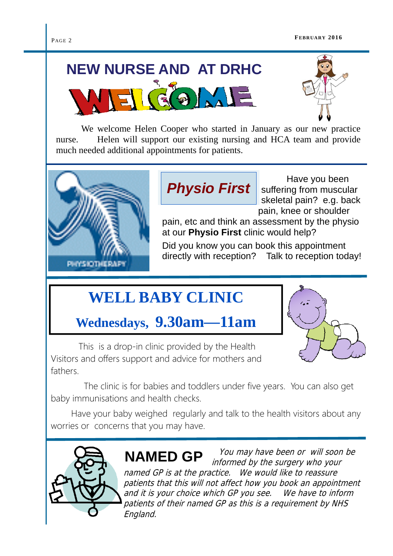#### PAGE 2

# **NEW NURSE AND AT DRHC**



 We welcome Helen Cooper who started in January as our new practice nurse. Helen will support our existing nursing and HCA team and provide much needed additional appointments for patients.



*Physio First*

 Have you been suffering from muscular skeletal pain? e.g. back pain, knee or shoulder

pain, etc and think an assessment by the physio at our **Physio First** clinic would help?

Did you know you can book this appointment directly with reception? Talk to reception today!

### **WELL BABY CLINIC**

#### **Wednesdays, 9.30am—11am**



 This is a drop-in clinic provided by the Health Visitors and offers support and advice for mothers and fathers.

 The clinic is for babies and toddlers under five years. You can also get baby immunisations and health checks.

 Have your baby weighed regularly and talk to the health visitors about any worries or concerns that you may have.



 You may have been or will soon be informed by the surgery who your named GP is at the practice. We would like to reassure patients that this will not affect how you book an appointment and it is your choice which GP you see. We have to inform patients of their named GP as this is a requirement by NHS England. **NAMED GP**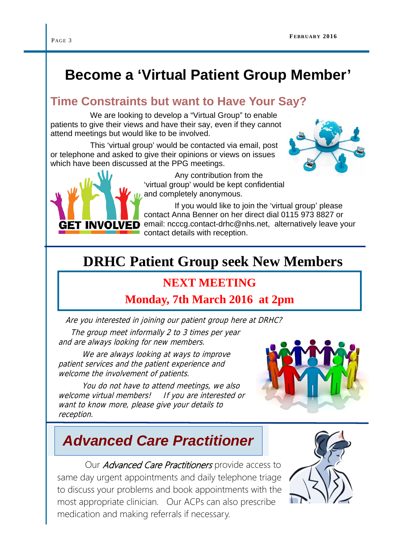### **Become a 'Virtual Patient Group Member'**

#### **Time Constraints but want to Have Your Say?**

 We are looking to develop a "Virtual Group" to enable patients to give their views and have their say, even if they cannot attend meetings but would like to be involved.

 This 'virtual group' would be contacted via email, post or telephone and asked to give their opinions or views on issues which have been discussed at the PPG meetings.



 If you would like to join the 'virtual group' please contact Anna Benner on her direct dial 0115 973 8827 or GET INVOLVED email: ncccg.contact-drhc@nhs.net, alternatively leave your contact details with reception.

#### **DRHC Patient Group seek New Members**

#### **NEXT MEETING**

#### **Monday, 7th March 2016 at 2pm**

Are you interested in joining our patient group here at DRHC?

 The group meet informally 2 to 3 times per year and are always looking for new members.

We are always looking at ways to improve patient services and the patient experience and welcome the involvement of patients.

 You do not have to attend meetings, we also welcome virtual members! If you are interested or want to know more, please give your details to reception.



#### *Advanced Care Practitioner*

Our *Advanced Care Practitioners* provide access to same day urgent appointments and daily telephone triage to discuss your problems and book appointments with the most appropriate clinician. Our ACPs can also prescribe medication and making referrals if necessary.